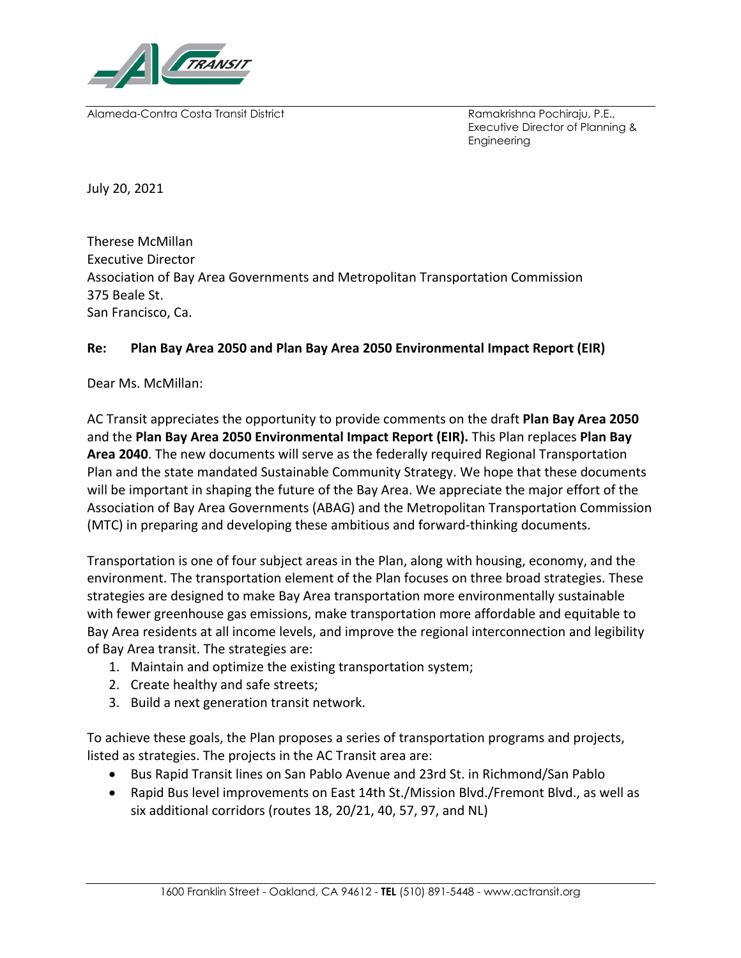

Alameda-Contra Costa Transit District Ramakrishna Pochiraju, P.E.,

Executive Director of Planning & Engineering

July 20, 2021

Therese McMillan Executive Director Association of Bay Area Governments and Metropolitan Transportation Commission 375 Beale St. San Francisco, Ca.

## **Re: Plan Bay Area 2050 and Plan Bay Area 2050 Environmental Impact Report (EIR)**

Dear Ms. McMillan:

AC Transit appreciates the opportunity to provide comments on the draft **Plan Bay Area 2050**  and the **Plan Bay Area 2050 Environmental Impact Report (EIR).** This Plan replaces **Plan Bay Area 2040**. The new documents will serve as the federally required Regional Transportation Plan and the state mandated Sustainable Community Strategy. We hope that these documents will be important in shaping the future of the Bay Area. We appreciate the major effort of the Association of Bay Area Governments (ABAG) and the Metropolitan Transportation Commission (MTC) in preparing and developing these ambitious and forward-thinking documents.

Transportation is one of four subject areas in the Plan, along with housing, economy, and the environment. The transportation element of the Plan focuses on three broad strategies. These strategies are designed to make Bay Area transportation more environmentally sustainable with fewer greenhouse gas emissions, make transportation more affordable and equitable to Bay Area residents at all income levels, and improve the regional interconnection and legibility of Bay Area transit. The strategies are:

- 1. Maintain and optimize the existing transportation system;
- 2. Create healthy and safe streets;
- 3. Build a next generation transit network.

To achieve these goals, the Plan proposes a series of transportation programs and projects, listed as strategies. The projects in the AC Transit area are:

- Bus Rapid Transit lines on San Pablo Avenue and 23rd St. in Richmond/San Pablo
- Rapid Bus level improvements on East 14th St./Mission Blvd./Fremont Blvd., as well as six additional corridors (routes 18, 20/21, 40, 57, 97, and NL)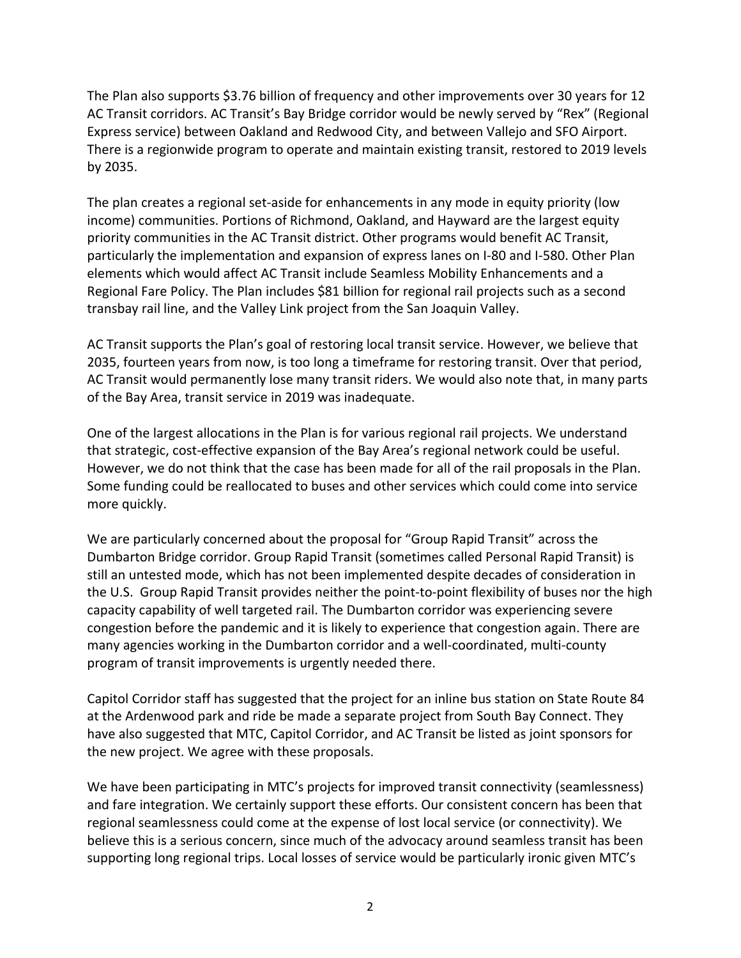The Plan also supports \$3.76 billion of frequency and other improvements over 30 years for 12 AC Transit corridors. AC Transit's Bay Bridge corridor would be newly served by "Rex" (Regional Express service) between Oakland and Redwood City, and between Vallejo and SFO Airport. There is a regionwide program to operate and maintain existing transit, restored to 2019 levels by 2035.

The plan creates a regional set-aside for enhancements in any mode in equity priority (low income) communities. Portions of Richmond, Oakland, and Hayward are the largest equity priority communities in the AC Transit district. Other programs would benefit AC Transit, particularly the implementation and expansion of express lanes on I-80 and I-580. Other Plan elements which would affect AC Transit include Seamless Mobility Enhancements and a Regional Fare Policy. The Plan includes \$81 billion for regional rail projects such as a second transbay rail line, and the Valley Link project from the San Joaquin Valley.

AC Transit supports the Plan's goal of restoring local transit service. However, we believe that 2035, fourteen years from now, is too long a timeframe for restoring transit. Over that period, AC Transit would permanently lose many transit riders. We would also note that, in many parts of the Bay Area, transit service in 2019 was inadequate.

One of the largest allocations in the Plan is for various regional rail projects. We understand that strategic, cost-effective expansion of the Bay Area's regional network could be useful. However, we do not think that the case has been made for all of the rail proposals in the Plan. Some funding could be reallocated to buses and other services which could come into service more quickly.

We are particularly concerned about the proposal for "Group Rapid Transit" across the Dumbarton Bridge corridor. Group Rapid Transit (sometimes called Personal Rapid Transit) is still an untested mode, which has not been implemented despite decades of consideration in the U.S. Group Rapid Transit provides neither the point-to-point flexibility of buses nor the high capacity capability of well targeted rail. The Dumbarton corridor was experiencing severe congestion before the pandemic and it is likely to experience that congestion again. There are many agencies working in the Dumbarton corridor and a well-coordinated, multi-county program of transit improvements is urgently needed there.

Capitol Corridor staff has suggested that the project for an inline bus station on State Route 84 at the Ardenwood park and ride be made a separate project from South Bay Connect. They have also suggested that MTC, Capitol Corridor, and AC Transit be listed as joint sponsors for the new project. We agree with these proposals.

We have been participating in MTC's projects for improved transit connectivity (seamlessness) and fare integration. We certainly support these efforts. Our consistent concern has been that regional seamlessness could come at the expense of lost local service (or connectivity). We believe this is a serious concern, since much of the advocacy around seamless transit has been supporting long regional trips. Local losses of service would be particularly ironic given MTC's